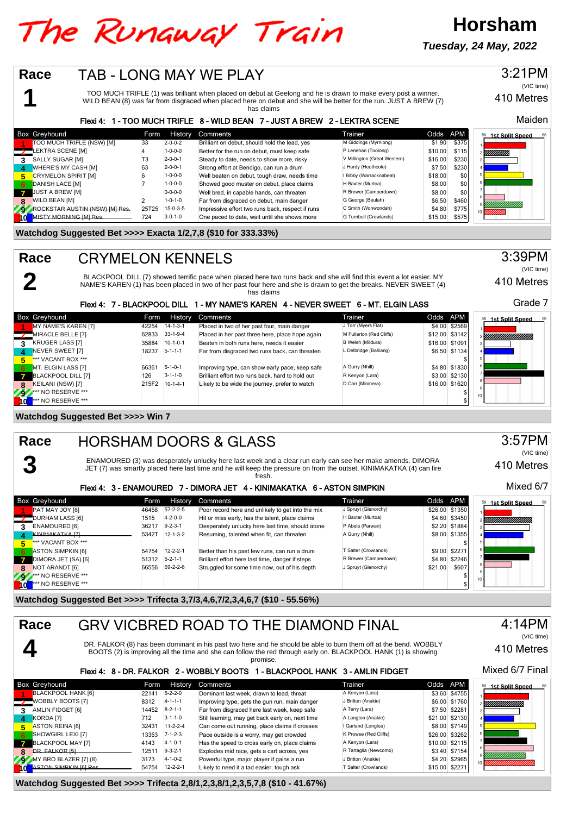# The Runaway Train

**Tuesday, 24 May, 2022**

**Horsham**



**Watchdog Suggested Bet >>>> Trifecta 2,8/1,2,3,8/1,2,3,5,7,8 (\$10 - 41.67%)**

Likely to need it a tad easier, tough ask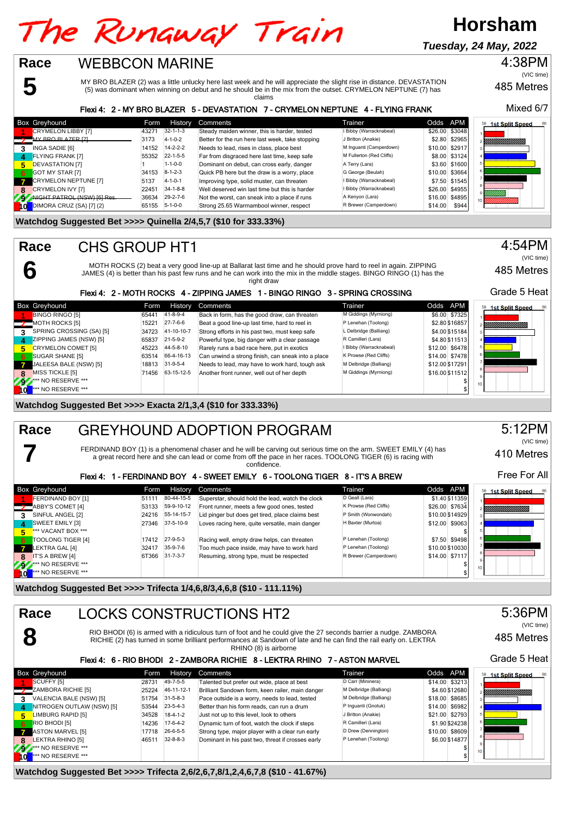# The Runaway Train

**Horsham**

**Tuesday, 24 May, 2022**

485 Metres 4:38PM (VIC time)

MY BRO BLAZER (2) was a little unlucky here last week and he will appreciate the slight rise in distance. DEVASTATION (5) was dominant when winning on debut and he should be in the mix from the outset. CRYMELON NEPTUNE (7) has claims

#### Flexi 4: 2 - MY BRO BLAZER 5 - DEVASTATION 7 - CRYMELON NEPTUNE 4 - FLYING FRANK

|     | <b>Box Greyhound</b>        | Form  | <b>History</b>   | <b>Comments</b>                                  | Trainer                  | Odds APM |                | <sup>58</sup> 1st Split Speed<br>68 |
|-----|-----------------------------|-------|------------------|--------------------------------------------------|--------------------------|----------|----------------|-------------------------------------|
|     | CRYMELON LIBBY [7]          | 4327' | $32 - 1 - 1 - 3$ | Steady maiden winner, this is harder, tested     | I Bibby (Warracknabeal)  |          | \$26.00 \$3048 |                                     |
|     | MY BRO BLAZER [7]           | 3173  | $4 - 1 - 0 - 2$  | Better for the run here last week, take stopping | J Britton (Anakie)       |          | \$2.80 \$2965  |                                     |
|     | INGA SADIE [6]              | 14152 | $14 - 2 - 2 - 2$ | Needs to lead, rises in class, place best        | M Inquanti (Camperdown)  |          | \$10.00 \$2917 |                                     |
| 4   | <b>FLYING FRANK [7]</b>     | 55352 | $22 - 1 - 5 - 5$ | Far from disgraced here last time, keep safe     | M Fullerton (Red Cliffs) |          | \$8,00 \$3124  |                                     |
| 5.  | <b>DEVASTATION [7]</b>      |       | $1 - 1 - 0 - 0$  | Dominant on debut, can cross early, danger       | A Terry (Lara)           |          | \$3.60 \$1600  |                                     |
| 6   | GOT MY STAR [7]             | 34153 | $8 - 1 - 2 - 3$  | Quick PB here but the draw is a worry, place     | G George (Beulah)        |          | \$10.00 \$3664 |                                     |
|     | CRYMELON NEPTUNE [7]        | 5137  | $4 - 1 - 0 - 1$  | Improving type, solid muster, can threaten       | I Bibby (Warracknabeal)  |          | \$7.50 \$1545  |                                     |
|     | CRYMELON IVY [7]            | 22451 | $34 - 1 - 8 - 8$ | Well deserved win last time but this is harder   | I Bibby (Warracknabeal)  |          | \$26.00 \$4955 |                                     |
|     | NICHT PATROL (NSW) [6] Res. | 36634 | $29 - 2 - 7 - 6$ | Not the worst, can sneak into a place if runs    | A Kenyon (Lara)          |          | \$16.00 \$4895 |                                     |
| I∩l | DIMORA CRUZ (SA) [7] (2)    | 65155 | $5 - 1 - 0 - 0$  | Strong 25.65 Warrnambool winner, respect         | R Brewer (Camperdown)    | \$14.00  | \$944          |                                     |

#### **Watchdog Suggested Bet >>>> Quinella 2/4,5,7 (\$10 for 333.33%)**

WEBBCON MARINE

CHS GROUP HT1

**5**

**6**

**7**

**Race**

**Race**

MOTH ROCKS (2) beat a very good line-up at Ballarat last time and he should prove hard to reel in again. ZIPPING JAMES (4) is better than his past few runs and he can work into the mix in the middle stages. BINGO RINGO (1) has the right draw

#### Flexi 4: 2 - MOTH ROCKS 4 - ZIPPING JAMES 1 - BINGO RINGO 3 - SPRING CROSSING

|                 | <b>Box Greyhound</b>         | Form  | <b>History</b>   | Comments                                           | Trainer                 | Odds APM        | 58<br><b>1st Split Speed</b> |
|-----------------|------------------------------|-------|------------------|----------------------------------------------------|-------------------------|-----------------|------------------------------|
|                 | <b>BINGO RINGO [5]</b>       | 65441 | 41-8-9-4         | Back in form, has the good draw, can threaten      | M Giddings (Myrniong)   | \$6.00 \$7325   |                              |
|                 | $\frac{1}{2}$ MOTH ROCKS [5] | 15221 | $27 - 7 - 6 - 6$ | Beat a good line-up last time, hard to reel in     | P Lenehan (Toolong)     | \$2.80 \$16857  | YMMMMMMMM                    |
|                 | SPRING CROSSING (SA) [5]     | 34723 | 41-10-10-7       | Strong efforts in his past two, must keep safe     | L Delbridge (Balliang)  | \$4.00 \$15184  |                              |
| $\mathbf{A}$    | ZIPPING JAMES (NSW) [5]      | 65837 | $21 - 5 - 9 - 2$ | Powerful type, big danger with a clear passage     | R Camilleri (Lara)      | \$4.80 \$11513  |                              |
| Б.              | <b>CRYMELON COMET [5]</b>    | 45223 | 44-5-8-10        | Rarely runs a bad race here, put in exotics        | I Bibby (Warracknabeal) | \$12.00 \$6478  |                              |
| - 6             | SUGAR SHANE [5]              | 63514 | 66-4-16-13       | Can unwind a strong finish, can sneak into a place | K Prowse (Red Cliffs)   | \$14.00 \$7478  |                              |
| $\overline{7}$  | JALEESA BALE (NSW) [5]       | 18813 | $31 - 9 - 5 - 4$ | Needs to lead, may have to work hard, tough ask    | M Delbridge (Balliang)  | \$12.00 \$17291 |                              |
| 8               | MISS TICKLE [5]              | 71456 | 63-15-12-5       | Another front runner, well out of her depth        | M Giddings (Myrniong)   | \$16.00 \$11512 |                              |
| 797             | *** NO RESERVE ***           |       |                  |                                                    |                         |                 | 10 <sub>1</sub>              |
| 40 <sup>7</sup> | *** NO RESERVE ***           |       |                  |                                                    |                         |                 |                              |

**Watchdog Suggested Bet >>>> Exacta 2/1,3,4 (\$10 for 333.33%)**

#### GREYHOUND ADOPTION PROGRAM **Race**

FERDINAND BOY (1) is a phenomenal chaser and he will be carving out serious time on the arm. SWEET EMILY (4) has a great record here and she can lead or come from off the pace in her races. TOOLONG TIGER (6) is racing with confidence.

#### Flexi 4: 1 - FERDINAND BOY 4 - SWEET EMILY 6 - TOOLONG TIGER 8 - IT'S A BREW

|    | <b>Box Greyhound</b>          | Form  | History          | Comments                                         | Trainer               | Odds APM        | 68<br>1st Split Speed   |
|----|-------------------------------|-------|------------------|--------------------------------------------------|-----------------------|-----------------|-------------------------|
|    | FERDINAND BOY [1]             | 51111 | 80-44-15-5       | Superstar, should hold the lead, watch the clock | D Geall (Lara)        | \$1.40 \$11359  |                         |
|    | ABBY'S COMET [4]              | 53133 | 59-9-10-12       | Front runner, meets a few good ones, tested      | K Prowse (Red Cliffs) | \$26.00 \$7634  | YIIIIIIIIIIIIIIIIIIIIII |
|    | SINFUL ANGEL [2]              | 24216 | 55-14-15-7       | Lid pinger but does get tired, place claims best | P Smith (Wonwondah)   | \$10.00 \$14929 |                         |
| 4  | SWEET EMILY [3]               | 27346 | 37-5-10-9        | Loves racing here, quite versatile, main danger  | H Baxter (Murtoa)     | \$12.00 \$9063  |                         |
|    | *** VACANT BOX ***            |       |                  |                                                  |                       |                 |                         |
| 6. | TOOLONG TIGER [4]             | 17412 | $27-9-5-3$       | Racing well, empty draw helps, can threaten      | P Lenehan (Toolong)   | \$7.50 \$9498   |                         |
|    | LEKTRA GAL [4]                | 32417 | $35-9-7-6$       | Too much pace inside, may have to work hard      | P Lenehan (Toolong)   | \$10,00 \$10030 |                         |
|    | IT'S A BREW [4]               | 6T366 | $31 - 7 - 3 - 7$ | Resuming, strong type, must be respected         | R Brewer (Camperdown) | \$14.00 \$7117  |                         |
| 22 | <b>At AND RESERVE ***</b>     |       |                  |                                                  |                       |                 | 10 <sub>10</sub>        |
| ۱o | <sup>***</sup> NO RESERVE *** |       |                  |                                                  |                       |                 |                         |

**Watchdog Suggested Bet >>>> Trifecta 1/4,6,8/3,4,6,8 (\$10 - 111.11%)**

| Race                                   |                           |       |                  | <b>LOCKS CONSTRUCTIONS HT2</b>                                                                                                                                                                                                                                |                        |                | 5:36PM                       |
|----------------------------------------|---------------------------|-------|------------------|---------------------------------------------------------------------------------------------------------------------------------------------------------------------------------------------------------------------------------------------------------------|------------------------|----------------|------------------------------|
|                                        |                           |       |                  | RIO BHODI (6) is armed with a ridiculous turn of foot and he could give the 27 seconds barrier a nudge. ZAMBORA<br>RICHIE (2) has turned in some brilliant performances at Sandown of late and he can find the rail early on. LEKTRA<br>RHINO (8) is airborne |                        |                | (VIC time)<br>485 Metres     |
|                                        |                           |       |                  | Flexi 4: 6 - RIO BHODI 2 - ZAMBORA RICHIE 8 - LEKTRA RHINO 7 - ASTON MARVEL                                                                                                                                                                                   |                        |                | Grade 5 Heat                 |
| <b>Box Greyhound</b>                   |                           | Form  | <b>History</b>   | Comments                                                                                                                                                                                                                                                      | Trainer                | Odds APM       | <b>1st Split Speed</b><br>58 |
| SCUFFY [5]                             |                           | 28731 | 49-7-5-5         | Talented but prefer out wide, place at best                                                                                                                                                                                                                   | D Carr (Mininera)      | \$14.00 \$3213 |                              |
| <b>2</b> ZAMBORA RICHIE [5]            |                           | 25224 | 46-11-12-1       | Brilliant Sandown form, keen railer, main danger                                                                                                                                                                                                              | M Delbridge (Balliang) | \$4.60 \$12680 |                              |
| 3                                      | VALENCIA BALE (NSW) [5]   | 51754 | $31 - 5 - 8 - 3$ | Pace outside is a worry, needs to lead, tested                                                                                                                                                                                                                | M Delbridge (Balliang) | \$18.00 \$8685 |                              |
| $\mathbf{A}$                           | NITROGEN OUTLAW (NSW) [5] | 53544 | $23 - 5 - 4 - 3$ | Better than his form reads, can run a drum                                                                                                                                                                                                                    | P Inquanti (Gnotuk)    | \$14.00 \$6982 |                              |
| <b>LIMBURG RAPID [5]</b><br>5.         |                           | 34528 | $18-4-1-2$       | Just not up to this level, look to others                                                                                                                                                                                                                     | J Britton (Anakie)     | \$21.00 \$2793 |                              |
| RIO BHODI [5]<br>-6                    |                           | 14236 | $17-6-4-2$       | Dynamic turn of foot, watch the clock if steps                                                                                                                                                                                                                | R Camilleri (Lara)     | \$1.90 \$24238 |                              |
|                                        | ASTON MARVEL [5]          | 17718 | 26-6-5-5         | Strong type, major player with a clear run early                                                                                                                                                                                                              | D Drew (Dennington)    | \$10.00 \$8609 |                              |
| LEKTRA RHINO [5]<br>8                  |                           | 46511 | $32 - 8 - 8 - 3$ | Dominant in his past two, threat if crosses early                                                                                                                                                                                                             | P Lenehan (Toolong)    | \$6.00 \$14877 |                              |
| <b>9</b> <sup>***</sup> NO RESERVE *** |                           |       |                  |                                                                                                                                                                                                                                                               |                        |                | 10 <sup>10</sup>             |
| <b>10</b>                              | *** NO RESERVE ***        |       |                  |                                                                                                                                                                                                                                                               |                        |                |                              |

**Watchdog Suggested Bet >>>> Trifecta 2,6/2,6,7,8/1,2,4,6,7,8 (\$10 - 41.67%)**

Mixed 6/7

485 Metres

Grade 5 Heat

410 Metres

Free For All

5:12PM

(VIC time)

4:54PM

(VIC time)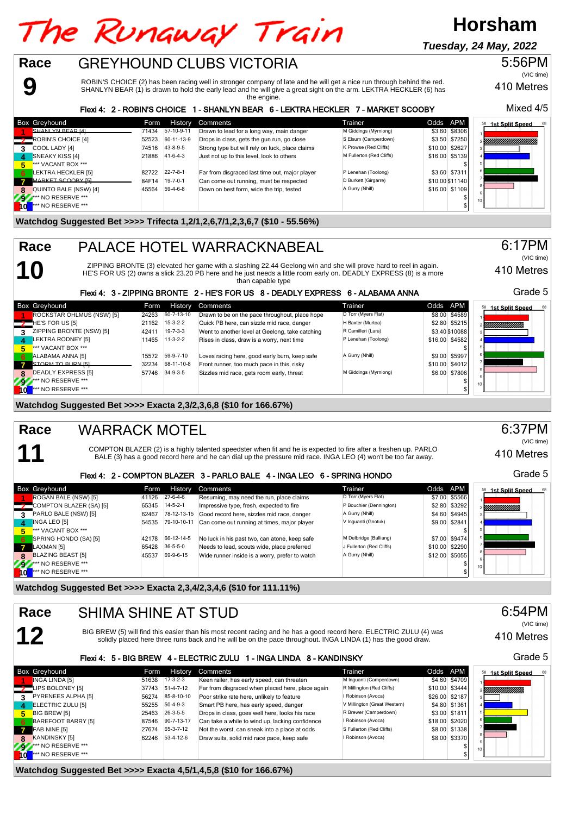## The Runaway Train **Race** GREYHOUND CLUBS VICTORIA

ROBIN'S CHOICE (2) has been racing well in stronger company of late and he will get a nice run through behind the red. SHANLYN BEAR (1) is drawn to hold the early lead and he will give a great sight on the arm. LEKTRA HECKLER (6) has the engine.

#### Flexi 4: 2 - ROBIN'S CHOICE 1 - SHANLYN BEAR 6 - LEKTRA HECKLER 7 - MARKET SCOOBY

|   | <b>Box Greyhound</b>     | Form  | History          | Comments                                        | Trainer                  | Odds APM |                 | <b>1st Split Speed</b><br>68 |
|---|--------------------------|-------|------------------|-------------------------------------------------|--------------------------|----------|-----------------|------------------------------|
|   | SHANI YN REAR [4]        | 71434 | 57-10-9-11       | Drawn to lead for a long way, main danger       | M Giddings (Myrniong)    |          | \$3.60 \$8306   |                              |
|   | ROBIN'S CHOICE [4]       | 52523 | 60-11-13-9       | Drops in class, gets the gun run, go close      | S Elsum (Camperdown)     |          | \$3.50 \$7250   | IIIIIIIIIIIIIIIIIIIII        |
| 3 | COOL LADY [4]            | 74516 | 43-8-9-5         | Strong type but will rely on luck, place claims | K Prowse (Red Cliffs)    |          | \$10.00 \$2627  |                              |
| 4 | <b>SNEAKY KISS [4]</b>   | 21886 | $41 - 6 - 4 - 3$ | Just not up to this level, look to others       | M Fullerton (Red Cliffs) |          | \$16.00 \$5139  |                              |
| 5 | *** VACANT BOX ***       |       |                  |                                                 |                          |          |                 |                              |
| 6 | LEKTRA HECKLER [5]       | 82722 | $22 - 7 - 8 - 1$ | Far from disgraced last time out, major player  | P Lenehan (Toolong)      |          | \$3.60 \$7311   |                              |
|   | <b>MARKET SCOOBY [5]</b> | 84F14 | $19 - 7 - 0 - 1$ | Can come out running, must be respected         | D Burkett (Girgarre)     |          | \$10.00 \$11140 |                              |
|   | QUINTO BALE (NSW) [4]    | 45564 | 59-4-6-8         | Down on best form, wide the trip, tested        | A Gurry (Nhill)          |          | \$16.00 \$1109  |                              |
|   | *** NO RESERVE ***       |       |                  |                                                 |                          |          |                 | 10 <sup>1</sup>              |
|   | *** NO RESERVE ***       |       |                  |                                                 |                          |          |                 |                              |

### **Watchdog Suggested Bet >>>> Trifecta 1,2/1,2,6,7/1,2,3,6,7 (\$10 - 55.56%)**

## PALACE HOTEL WARRACKNABEAL

ZIPPING BRONTE (3) elevated her game with a slashing 22.44 Geelong win and she will prove hard to reel in again. HE'S FOR US (2) owns a slick 23.20 PB here and he just needs a little room early on. DEADLY EXPRESS (8) is a more

than capable type

#### Grade 5 Flexi 4: 3 - ZIPPING BRONTE 2 - HE'S FOR US 8 - DEADLY EXPRESS 6 - ALABAMA ANNA Box Greyhound **Form History Comments** Trainer Trainer Codds APM 58 1st Split Speed **1** ROCKSTAR OHLMUS (NSW) [5] 24263 60-7-13-10 Drawn to be on the pace throughout, place hope D Torr (Myers Flat) \$8.00 \$4589<br>HE'S FOR US [5] 2.80 \$5215 21162 15-3-2-2 Quick PB here, can sizzle mid race, danger H Baxter (M HE'S FOR US [5] 2.80 21162 15-3-2-2 Quick PB here, can sizzle mid race, danger H Baxter (Murtoa) 52.80 \$5215<br>21169 21162 2017 19-7-3-3 Went to another level at Geelong, take catching R Camilleri (Lara) \$3.40 \$10088 m. **3** ZIPPING BRONTE (NSW) [5] 42411 19-7-3-3 Went to another level at Geelong, take catching R Camilleri (Lara) \$3.40 \$10088 LEKTRA RODNEY [5] **11465** 11-3-2-2 Rises in class, draw is a worry, next time **Product to AT Lene**<br>\*\*\* VACANT BOX \*\*\* **5** \*\*\* VACANT BOX \*\*\* \$ **6** ALABAMA ANNA [5] 15572 59-9-7-10 Loves racing here, good early burn, keep safe A Gurry (Nhill) \$9.00 \$5997<br>**68-97 STORM TO BURN [5] 32234 58-11-10-8** Front runner, too much pace in this, risky **77 STORM TO BURN [5] 32234 68-11-10-8** Front runner, too much pace in this, risky **\$10.00 \$4012** \$10.00 \$4012<br>DEADLY EXPRESS [5] 57746 34-9-3-5 Sizzles mid race, gets room early, threat M Giddings (Myrniong) \$6.00 \$7806 BADLY EXPRESS [5] 57746 34-9-3-5 Sizzles mid race, gets room early, threat M Giddings (Myrniong) \$6.00 \$7806<br>\* NO RESERVE \*\*\* **92** \*\*\* NO RESERVE \*\*\* \$ **10** \*\*\* NO RESERVE \*\*\* \$

**Watchdog Suggested Bet >>>> Exacta 2,3/2,3,6,8 (\$10 for 166.67%)**

## **11 Race**

**12**

**9**

**10**

**Race**

### WARRACK MOTEL

COMPTON BLAZER (2) is a highly talented speedster when fit and he is expected to fire after a freshen up. PARLO BALE (3) has a good record here and he can dial up the pressure mid race. INGA LEO (4) won't be too far away.

#### Flexi 4: 2 - COMPTON BLAZER 3 - PARLO BALE 4 - INGA LEO 6 - SPRING HONDO

|    | Box Greyhound                 | Form  | History          | Comments                                       | Trainer                  | Odds APM       | 68<br><b>1st Split Speed</b><br>58 |
|----|-------------------------------|-------|------------------|------------------------------------------------|--------------------------|----------------|------------------------------------|
|    | ROGAN BALE (NSW) [5]          | 41126 | $27-6-4-6$       | Resuming, may need the run, place claims       | D Torr (Myers Flat)      | \$7.00 \$5566  |                                    |
|    | COMPTON BLAZER (SA) [5]       | 65345 | $14 - 5 - 2 - 1$ | Impressive type, fresh, expected to fire       | P Bouchier (Dennington)  | \$2.80 \$3292  | e <i>Villittiittiittiin</i>        |
|    | PARLO BALE (NSW) [5]          | 62467 | 78-12-13-15      | Good record here, sizzles mid race, danger     | A Gurry (Nhill)          | \$4.60 \$4945  |                                    |
| 4  | INGA LEO [5]                  | 54535 | 79-10-10-11      | Can come out running at times, major player    | V Inquanti (Gnotuk)      | \$9.00 \$2841  |                                    |
| 5. | *** VACANT BOX ***            |       |                  |                                                |                          |                |                                    |
| 6  | SPRING HONDO (SA) [5]         | 42178 | 66-12-14-5       | No luck in his past two, can atone, keep safe  | M Delbridge (Balliang)   | \$7.00 \$9474  |                                    |
|    | LAXMAN [5]                    | 65428 | $36 - 5 - 5 - 0$ | Needs to lead, scouts wide, place preferred    | J Fullerton (Red Cliffs) | \$10.00 \$2290 |                                    |
|    | <b>BLAZING BEAST [5]</b>      | 45537 | 69-9-6-15        | Wide runner inside is a worry, prefer to watch | A Gurry (Nhill)          | \$12.00 \$5055 |                                    |
| 27 | <b>Att NO RESERVE ***</b>     |       |                  |                                                |                          |                | 10 <sup>10</sup>                   |
| ۱o | <sup>***</sup> NO RESERVE *** |       |                  |                                                |                          |                |                                    |

**Watchdog Suggested Bet >>>> Exacta 2,3,4/2,3,4,6 (\$10 for 111.11%)**

#### SHIMA SHINE AT STUD **Race**

BIG BREW (5) will find this easier than his most recent racing and he has a good record here. ELECTRIC ZULU (4) was solidly placed here three runs back and he will be on the pace throughout. INGA LINDA (1) has the good draw.

#### Flexi 4: 5 - BIG BREW 4 - ELECTRIC ZULU 1 - INGA LINDA 8 - KANDINSKY

|    | Box Greyhound                 | Form  | History    | Comments                                         | Trainer                      | Odds APM |                |
|----|-------------------------------|-------|------------|--------------------------------------------------|------------------------------|----------|----------------|
|    | INGA LINDA [5]                | 51638 | $17-3-2-3$ | Keen railer, has early speed, can threaten       | M Inquanti (Camperdown)      |          | \$4.60 \$4709  |
|    | LIPS BOLONEY [5]              | 37743 | 51-4-7-12  | Far from disgraced when placed here, place again | R Millington (Red Cliffs)    |          | \$10.00 \$3444 |
| 3  | PYRENEES ALPHA [5]            | 56274 | 85-8-10-10 | Poor strike rate here, unlikely to feature       | I Robinson (Avoca)           |          | \$26.00 \$2187 |
| 4. | <b>ELECTRIC ZULU [5]</b>      | 55255 | $50-4-9-3$ | Smart PB here, has early speed, danger           | V Millington (Great Western) |          | \$4.80 \$1361  |
| 5. | <b>BIG BREW [5]</b>           | 25463 | 26-3-5-5   | Drops in class, goes well here, looks his race   | R Brewer (Camperdown)        |          | \$3.00 \$1811  |
| 6. | BAREFOOT BARRY [5]            | 87546 | 90-7-13-17 | Can take a while to wind up, lacking confidence  | I Robinson (Avoca)           |          | \$18.00 \$2020 |
|    | FAB NINE [5]                  | 27674 | 65-3-7-12  | Not the worst, can sneak into a place at odds    | S Fullerton (Red Cliffs)     |          | \$8.00 \$1338  |
| я  | KANDINSKY [5]                 | 62246 | 53-4-12-6  | Draw suits, solid mid race pace, keep safe       | I Robinson (Avoca)           |          | \$8.00 \$3370  |
| Æ  | <b>*** NO RESERVE ***</b>     |       |            |                                                  |                              |          |                |
|    | <sup>***</sup> NO RESERVE *** |       |            |                                                  |                              |          |                |

**Watchdog Suggested Bet >>>> Exacta 4,5/1,4,5,8 (\$10 for 166.67%)**

410 Metres

Mixed 4/5

5:56PM

(VIC time)

410 Metres 6:17PM (VIC time)





Grade 5

6:37PM

6:54PM (VIC time)

Grade 5

410 Metres



## **Horsham**

**Tuesday, 24 May, 2022**